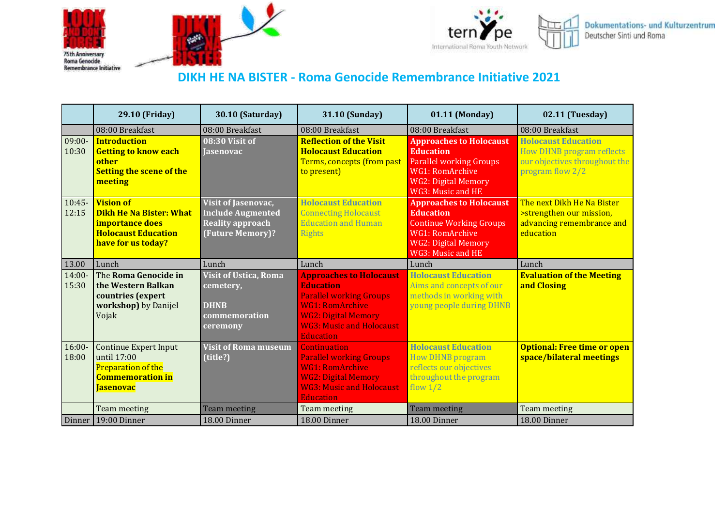





## **DIKH HE NA BISTER - Roma Genocide Remembrance Initiative 2021**

|                    | 29.10 (Friday)                                                                                                            | <b>30.10 (Saturday)</b>                                                                               | 31.10 (Sunday)                                                                                                                                                                                      | 01.11 (Monday)                                                                                                                                                     | 02.11 (Tuesday)                                                                                                     |
|--------------------|---------------------------------------------------------------------------------------------------------------------------|-------------------------------------------------------------------------------------------------------|-----------------------------------------------------------------------------------------------------------------------------------------------------------------------------------------------------|--------------------------------------------------------------------------------------------------------------------------------------------------------------------|---------------------------------------------------------------------------------------------------------------------|
|                    | 08:00 Breakfast                                                                                                           | 08:00 Breakfast                                                                                       | 08:00 Breakfast                                                                                                                                                                                     | 08:00 Breakfast                                                                                                                                                    | 08:00 Breakfast                                                                                                     |
| $09:00-$<br>10:30  | <b>Introduction</b><br><b>Getting to know each</b><br>other<br><b>Setting the scene of the</b><br>meeting                 | 08:30 Visit of<br><b>Jasenovac</b>                                                                    | <b>Reflection of the Visit</b><br><b>Holocaust Education</b><br>Terms, concepts (from past<br>to present)                                                                                           | <b>Approaches to Holocaust</b><br><b>Education</b><br><b>Parallel working Groups</b><br>WG1: RomArchive<br><b>WG2: Digital Memory</b><br>WG3: Music and HE         | <b>Holocaust Education</b><br><b>How DHNB program reflects</b><br>our objectives throughout the<br>program flow 2/2 |
| $10:45-$<br>12:15  | <b>Vision of</b><br><b>Dikh He Na Bister: What</b><br>importance does<br><b>Holocaust Education</b><br>have for us today? | <b>Visit of Jasenovac,</b><br><b>Include Augmented</b><br><b>Reality approach</b><br>(Future Memory)? | <b>Holocaust Education</b><br><b>Connecting Holocaust</b><br><b>Education and Human</b><br><b>Rights</b>                                                                                            | <b>Approaches to Holocaust</b><br><b>Education</b><br><b>Continue Working Groups</b><br><b>WG1</b> : RomArchive<br><b>WG2: Digital Memory</b><br>WG3: Music and HE | The next Dikh He Na Bister<br>>strengthen our mission,<br>advancing remembrance and<br>education                    |
| 13.00              | Lunch                                                                                                                     | Lunch                                                                                                 | Lunch                                                                                                                                                                                               | Lunch                                                                                                                                                              | Lunch                                                                                                               |
| $14:00 -$<br>15:30 | The Roma Genocide in<br>the Western Balkan<br>countries (expert<br>workshop) by Danijel<br>Vojak                          | <b>Visit of Ustica, Roma</b><br>cemetery,<br><b>DHNB</b><br>commemoration<br>ceremony                 | <b>Approaches to Holocaust</b><br><b>Education</b><br><b>Parallel working Groups</b><br><b>WG1: RomArchive</b><br><b>WG2: Digital Memory</b><br><b>WG3: Music and Holocaust</b><br><b>Education</b> | <b>Holocaust Education</b><br>Aims and concepts of our<br>methods in working with<br>young people during DHNB                                                      | <b>Evaluation of the Meeting</b><br>and Closing                                                                     |
| $16:00 -$<br>18:00 | Continue Expert Input<br>until 17:00<br>Preparation of the<br><b>Commemoration in</b><br>Jasenovac                        | <b>Visit of Roma museum</b><br>(title?)                                                               | <b>Continuation</b><br><b>Parallel working Groups</b><br><b>WG1: RomArchive</b><br><b>WG2: Digital Memory</b><br><b>WG3: Music and Holocaust</b><br><b>Education</b>                                | <b>Holocaust Education</b><br><b>How DHNB program</b><br>reflects our objectives<br>throughout the program<br>flow $1/2$                                           | <b>Optional: Free time or open</b><br>space/bilateral meetings                                                      |
|                    | Team meeting                                                                                                              | <b>Team meeting</b>                                                                                   | Team meeting                                                                                                                                                                                        | <b>Team meeting</b>                                                                                                                                                | Team meeting                                                                                                        |
| Dinner             | 19:00 Dinner                                                                                                              | 18.00 Dinner                                                                                          | 18.00 Dinner                                                                                                                                                                                        | 18.00 Dinner                                                                                                                                                       | 18.00 Dinner                                                                                                        |